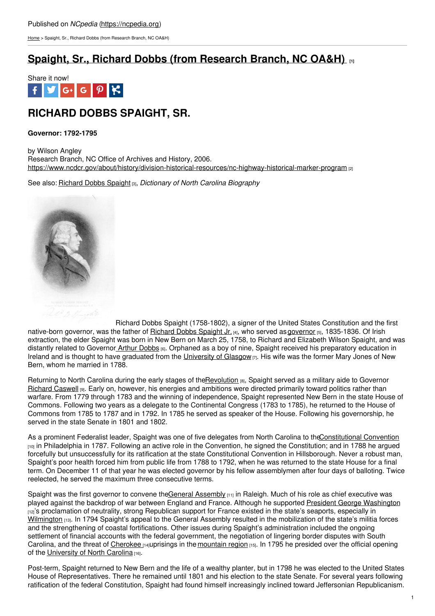[Home](https://ncpedia.org/) > Spaight, Sr., Richard Dobbs (from Research Branch, NC OA&H)

# **Spaight, Sr., Richard Dobbs (from [Research](https://ncpedia.org/spaight-sr-richard-dobbs-research) Branch, NC OA&H) [1]**



# **RICHARD DOBBS SPAIGHT, SR.**

### **Governor: 1792-1795**

by Wilson Angley Research Branch, NC Office of Archives and History, 2006. <https://www.ncdcr.gov/about/history/division-historical-resources/nc-highway-historical-marker-program> [2]

See also: [Richard](https://ncpedia.org/biography/spaight-richard-dobbs) Dobbs Spaight [3], *Dictionary of North Carolina Biography*



Richard Dobbs Spaight (1758-1802), a signer of the United States Constitution and the first native-born governor, was the father of [Richard](https://ncpedia.org/biography/spaight-richard-dobbs-jr) Dobbs Spaight Jr. [4], who served as [governor](https://ncpedia.org/government/governorship) [5], 1835-1836. Of Irish extraction, the elder Spaight was born in New Bern on March 25, 1758, to Richard and Elizabeth Wilson Spaight, and was distantly related to Governor Arthur [Dobbs](https://ncpedia.org/biography/dobbs-arthur) [6]. Orphaned as a boy of nine, Spaight received his preparatory education in Ireland and is thought to have graduated from the [University](https://www.gla.ac.uk/) of Glasgow  $\eta$ . His wife was the former Mary Jones of New Bern, whom he married in 1788.

Returning to North Carolina during the early stages of th[eRevolution](https://ncpedia.org/american-revolution) [8], Spaight served as a military aide to Governor [Richard](https://ncpedia.org/caswell-richard-research-branch-nc) Caswell [9]. Early on, however, his energies and ambitions were directed primarily toward politics rather than warfare. From 1779 through 1783 and the winning of independence, Spaight represented New Bern in the state House of Commons. Following two years as a delegate to the Continental Congress (1783 to 1785), he returned to the House of Commons from 1785 to 1787 and in 1792. In 1785 he served as speaker of the House. Following his governorship, he served in the state Senate in 1801 and 1802.

As a prominent Federalist leader, Spaight was one of five delegates from North Carolina to th[eConstitutional](https://www.loc.gov/collections/continental-congress-and-constitutional-convention-from-1774-to-1789/about-this-collection/) Convention  $_{100}$  in Philadelphia in 1787. Following an active role in the Convention, he signed the Constitution; and in 1788 he argued forcefully but unsuccessfully for its ratification at the state Constitutional Convention in Hillsborough. Never a robust man, Spaight's poor health forced him from public life from 1788 to 1792, when he was returned to the state House for a final term. On December 11 of that year he was elected governor by his fellow assemblymen after four days of balloting. Twice reelected, he served the maximum three consecutive terms.

Spaight was the first governor to convene theGeneral [Assembly](https://ncpedia.org/general-assembly)  $_{[11]}$  in Raleigh. Much of his role as chief executive was played against the backdrop of war between England and France. Although he supported President George [Washington](https://www.whitehouse.gov/about-the-white-house/presidents/george-washington/) [12]'s proclamation of neutrality, strong Republican support for France existed in the state's seaports, especially in [Wilmington](https://ncpedia.org/geography/wilmington)  $131$ . In 1794 Spaight's appeal to the General Assembly resulted in the mobilization of the state's militia forces and the strengthening of coastal fortifications. Other issues during Spaight's administration included the ongoing settlement of financial accounts with the federal government, the negotiation of lingering border disputes with South Carolina, and the threat of [Cherokee](https://ncpedia.org/cherokee/overview) [14]uprisings in the [mountain](https://ncpedia.org/our-state-geography-snap-mountain) region [15]. In 1795 he presided over the official opening of the [University](https://ncpedia.org/university-north-carolina-chapel-hi) of North Carolina [16].

Post-term, Spaight returned to New Bern and the life of a wealthy planter, but in 1798 he was elected to the United States House of Representatives. There he remained until 1801 and his election to the state Senate. For several years following ratification of the federal Constitution, Spaight had found himself increasingly inclined toward Jeffersonian Republicanism.